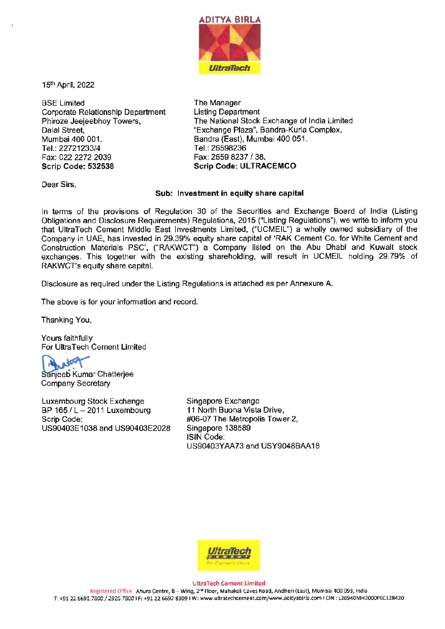

15th April, 2022

BSE Limited Corporate Relationship Department Phiroze Jeejeebhoy Towers, Dalal Street, Mumbai 400 001. Tel.: 22721233/4 Fax: 022 2272 2039 **Scrip Code: 532538** 

The Manager Listing Department The National Stock Exchange of India Limited "Exchange Plaza", Bandra-Kurla Complex, Bandra (East), Mumbai 400 051. Tel.:26598236 Fax: 2659 8237 / 38. Scrip Code: ULTRACEMCO

Dear Sirs,

## **Sub: Investment** in **equity share capital**

In terms of the provisions of Regulation 30 of the Securities and Exchange Board of India (Listing Obligations and Disclosure Requirements) Regulations, 2015 ("Listing Regulations"), we write to inform you that UltraTech Cement Middle East Investments Limited, ("UCMEIL") a wholly owned subsidiary of the Company in UAE, has invested in 29.39% equity share capital of 'RAK Cement Co. for White Cement and Construction Materials PSC', ("RAKWCT') a Company listed on the Abu Dhabi and Kuwait stock exchanges. This together with the existing shareholding, will result in UCMEIL holding 29.79% of RAKWCT's equity share capital.

Disclosure as required under the Listing Regulations is attached as per Annexure A.

The above is for your information and record.

Thanking You,

Yours faithfully For Ultra Tech Cement Limited

atter

Sanjeeb Kumar Chatterjee Company Secretary

Luxembourg Stock Exchange BP 165 / L- 2011 Luxembourg Scrip Code: US90403E1038 and US90403E2028 Singapore Exchange **11** North Buona Vista Drive, #06·07 The Metropolis Tower 2, Singapore 138589 ISIN Code: US90403YAA73 and USY9048BAA18



**UltraTech Cement Limited** 

Registered Office : Ahura Centre, B-Wing, 2•° Floor, Mahakali Caves **Road,** Andheri (East), Mumbai 400 093, lrtdia T: +91226691 7800 / 2926 7800 **IF:** +9122 6692 8109 I w: www.ultratechcement.com/www.adityabirla.com I CIN: L26940MH2000PLC128420